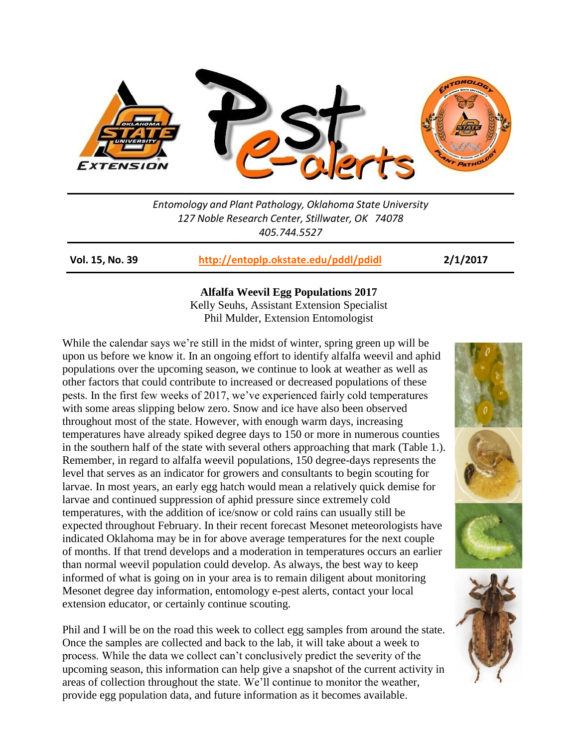

*Entomology and Plant Pathology, Oklahoma State University 127 Noble Research Center, Stillwater, OK 74078 405.744.5527*

**Vol. 15, No. 39 <http://entoplp.okstate.edu/pddl/pdidl> 2/1/2017**

## **Alfalfa Weevil Egg Populations 2017**

Kelly Seuhs, Assistant Extension Specialist Phil Mulder, Extension Entomologist

While the calendar says we're still in the midst of winter, spring green up will be upon us before we know it. In an ongoing effort to identify alfalfa weevil and aphid populations over the upcoming season, we continue to look at weather as well as other factors that could contribute to increased or decreased populations of these pests. In the first few weeks of 2017, we've experienced fairly cold temperatures with some areas slipping below zero. Snow and ice have also been observed throughout most of the state. However, with enough warm days, increasing temperatures have already spiked degree days to 150 or more in numerous counties in the southern half of the state with several others approaching that mark (Table 1.). Remember, in regard to alfalfa weevil populations, 150 degree-days represents the level that serves as an indicator for growers and consultants to begin scouting for larvae. In most years, an early egg hatch would mean a relatively quick demise for larvae and continued suppression of aphid pressure since extremely cold temperatures, with the addition of ice/snow or cold rains can usually still be expected throughout February. In their recent forecast Mesonet meteorologists have indicated Oklahoma may be in for above average temperatures for the next couple of months. If that trend develops and a moderation in temperatures occurs an earlier than normal weevil population could develop. As always, the best way to keep informed of what is going on in your area is to remain diligent about monitoring Mesonet degree day information, entomology e-pest alerts, contact your local extension educator, or certainly continue scouting.

Phil and I will be on the road this week to collect egg samples from around the state. Once the samples are collected and back to the lab, it will take about a week to process. While the data we collect can't conclusively predict the severity of the upcoming season, this information can help give a snapshot of the current activity in areas of collection throughout the state. We'll continue to monitor the weather, provide egg population data, and future information as it becomes available.